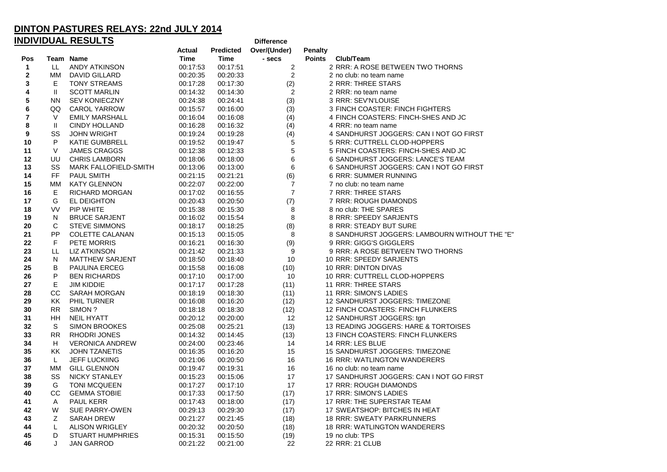| <u>INDIVIDUAL RESULTS</u><br><b>Difference</b> |           |                         |               |                  |                |                |                                               |
|------------------------------------------------|-----------|-------------------------|---------------|------------------|----------------|----------------|-----------------------------------------------|
|                                                |           |                         | <b>Actual</b> | <b>Predicted</b> | Over/(Under)   | <b>Penalty</b> |                                               |
| Pos                                            |           | Team Name               | <b>Time</b>   | Time             | - secs         | <b>Points</b>  | Club/Team                                     |
| $\mathbf 1$                                    | LL        | <b>ANDY ATKINSON</b>    | 00:17:53      | 00:17:51         | $\overline{c}$ |                | 2 RRR: A ROSE BETWEEN TWO THORNS              |
| $\mathbf 2$                                    | MM        | DAVID GILLARD           | 00:20:35      | 00:20:33         | $\overline{c}$ |                | 2 no club: no team name                       |
| 3                                              | E.        | <b>TONY STREAMS</b>     | 00:17:28      | 00:17:30         | (2)            |                | 2 RRR: THREE STARS                            |
| 4                                              | Ш         | <b>SCOTT MARLIN</b>     | 00:14:32      | 00:14:30         | $\overline{2}$ |                | 2 RRR: no team name                           |
| 5                                              | <b>NN</b> | <b>SEV KONIECZNY</b>    | 00:24:38      | 00:24:41         | (3)            |                | 3 RRR: SEV'N'LOUISE                           |
| 6                                              | QQ        | CAROL YARROW            | 00:15:57      | 00:16:00         | (3)            |                | 3 FINCH COASTER: FINCH FIGHTERS               |
| 7                                              | V         | <b>EMILY MARSHALL</b>   | 00:16:04      | 00:16:08         | (4)            |                | 4 FINCH COASTERS: FINCH-SHES AND JC           |
| 8                                              | Ш         | <b>CINDY HOLLAND</b>    | 00:16:28      | 00:16:32         | (4)            |                | 4 RRR: no team name                           |
| 9                                              | SS        | <b>JOHN WRIGHT</b>      | 00:19:24      | 00:19:28         | (4)            |                | 4 SANDHURST JOGGERS: CAN I NOT GO FIRST       |
| 10                                             | P         | <b>KATIE GUMBRELL</b>   | 00:19:52      | 00:19:47         | 5              |                | 5 RRR: CUTTRELL CLOD-HOPPERS                  |
| 11                                             | $\vee$    | <b>JAMES CRAGGS</b>     | 00:12:38      | 00:12:33         | 5              |                | 5 FINCH COASTERS: FINCH-SHES AND JC           |
| 12                                             | UU        | <b>CHRIS LAMBORN</b>    | 00:18:06      | 00:18:00         | 6              |                | 6 SANDHURST JOGGERS: LANCE'S TEAM             |
| 13                                             | SS        | MARK FALLOFIELD-SMITH   | 00:13:06      | 00:13:00         | 6              |                | 6 SANDHURST JOGGERS: CAN I NOT GO FIRST       |
| 14                                             | <b>FF</b> | <b>PAUL SMITH</b>       | 00:21:15      | 00:21:21         | (6)            |                | <b>6 RRR: SUMMER RUNNING</b>                  |
| 15                                             | MМ        | <b>KATY GLENNON</b>     | 00:22:07      | 00:22:00         | 7              |                | 7 no club: no team name                       |
| 16                                             | Е         | <b>RICHARD MORGAN</b>   | 00:17:02      | 00:16:55         | $\overline{7}$ |                | 7 RRR: THREE STARS                            |
| 17                                             | G         | EL DEIGHTON             | 00:20:43      | 00:20:50         | (7)            |                | 7 RRR: ROUGH DIAMONDS                         |
| 18                                             | <b>VV</b> | <b>PIP WHITE</b>        | 00:15:38      | 00:15:30         | 8              |                | 8 no club: THE SPARES                         |
| 19                                             | N         | <b>BRUCE SARJENT</b>    | 00:16:02      | 00:15:54         | 8              |                | 8 RRR: SPEEDY SARJENTS                        |
| 20                                             | С         | <b>STEVE SIMMONS</b>    | 00:18:17      | 00:18:25         | (8)            |                | 8 RRR: STEADY BUT SURE                        |
| 21                                             | PP        | <b>COLETTE CALANAN</b>  | 00:15:13      | 00:15:05         | 8              |                | 8 SANDHURST JOGGERS: LAMBOURN WITHOUT THE "E" |
| 22                                             | F         | PETE MORRIS             | 00:16:21      | 00:16:30         | (9)            |                | 9 RRR: GIGG'S GIGGLERS                        |
| 23                                             | LL        | <b>LIZ ATKINSON</b>     | 00:21:42      | 00:21:33         | 9              |                | 9 RRR: A ROSE BETWEEN TWO THORNS              |
| 24                                             | N         | <b>MATTHEW SARJENT</b>  | 00:18:50      | 00:18:40         | 10             |                | 10 RRR: SPEEDY SARJENTS                       |
| 25                                             | В         | <b>PAULINA ERCEG</b>    | 00:15:58      | 00:16:08         | (10)           |                | 10 RRR: DINTON DIVAS                          |
| 26                                             | P         | <b>BEN RICHARDS</b>     | 00:17:10      | 00:17:00         | 10             |                | 10 RRR: CUTTRELL CLOD-HOPPERS                 |
| 27                                             | E         | <b>JIM KIDDIE</b>       | 00:17:17      | 00:17:28         | (11)           |                | 11 RRR: THREE STARS                           |
| 28                                             | CС        | SARAH MORGAN            | 00:18:19      | 00:18:30         | (11)           |                | 11 RRR: SIMON'S LADIES                        |
| 29                                             | KK        | PHIL TURNER             | 00:16:08      | 00:16:20         | (12)           |                | 12 SANDHURST JOGGERS: TIMEZONE                |
| 30                                             | <b>RR</b> | SIMON?                  | 00:18:18      | 00:18:30         | (12)           |                | 12 FINCH COASTERS: FINCH FLUNKERS             |
| 31                                             | ΗH        | <b>NEIL HYATT</b>       | 00:20:12      | 00:20:00         | 12             |                | 12 SANDHURST JOGGERS: tgn                     |
| 32                                             | S         | <b>SIMON BROOKES</b>    | 00:25:08      | 00:25:21         | (13)           |                | 13 READING JOGGERS: HARE & TORTOISES          |
| 33                                             | <b>RR</b> | <b>RHODRI JONES</b>     | 00:14:32      | 00:14:45         | (13)           |                | 13 FINCH COASTERS: FINCH FLUNKERS             |
| 34                                             | H.        | <b>VERONICA ANDREW</b>  | 00:24:00      | 00:23:46         | 14             |                | 14 RRR: LES BLUE                              |
| 35                                             | ΚK        | <b>JOHN TZANETIS</b>    | 00:16:35      | 00:16:20         | 15             |                | 15 SANDHURST JOGGERS: TIMEZONE                |
| 36                                             | L         | <b>JEFF LUCKIING</b>    | 00:21:06      | 00:20:50         | 16             |                | <b>16 RRR: WATLINGTON WANDERERS</b>           |
| 37                                             | MМ        | <b>GILL GLENNON</b>     | 00:19:47      | 00:19:31         | 16             |                | 16 no club: no team name                      |
| 38                                             | SS        | <b>NICKY STANLEY</b>    | 00:15:23      | 00:15:06         | 17             |                | 17 SANDHURST JOGGERS: CAN I NOT GO FIRST      |
| 39                                             | G         | <b>TONI MCQUEEN</b>     | 00:17:27      | 00:17:10         | 17             |                | 17 RRR: ROUGH DIAMONDS                        |
| 40                                             | CС        | <b>GEMMA STOBIE</b>     | 00:17:33      | 00:17:50         | (17)           |                | 17 RRR: SIMON'S LADIES                        |
| 41                                             | Α         | <b>PAUL KERR</b>        | 00:17:43      | 00:18:00         | (17)           |                | 17 RRR: THE SUPERSTAR TEAM                    |
| 42                                             | W         | <b>SUE PARRY-OWEN</b>   | 00:29:13      | 00:29:30         | (17)           |                | 17 SWEATSHOP: BITCHES IN HEAT                 |
| 43                                             | Z         | SARAH DREW              | 00:21:27      | 00:21:45         | (18)           |                | 18 RRR: SWEATY PARKRUNNERS                    |
| 44                                             | L         | <b>ALISON WRIGLEY</b>   | 00:20:32      | 00:20:50         | (18)           |                | 18 RRR: WATLINGTON WANDERERS                  |
| 45                                             | D         | <b>STUART HUMPHRIES</b> | 00:15:31      | 00:15:50         | (19)           |                | 19 no club: TPS                               |
| 46                                             | J         | JAN GARROD              | 00:21:22      | 00:21:00         | 22             |                | 22 RRR: 21 CLUB                               |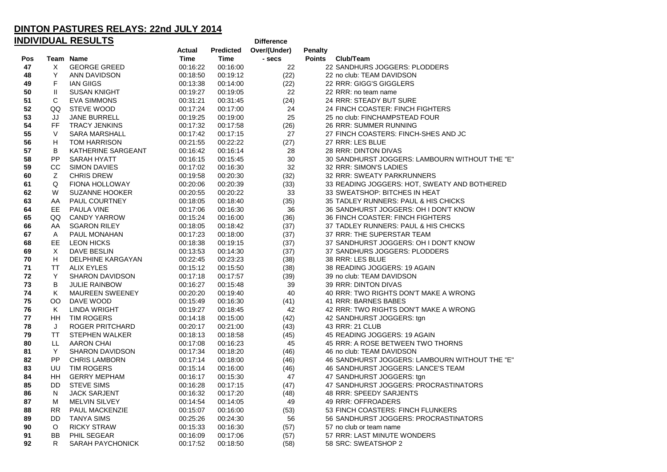| <u>INDIVIDUAL RESULTS</u><br><b>Difference</b> |             |                         |               |                  |              |                                                |  |
|------------------------------------------------|-------------|-------------------------|---------------|------------------|--------------|------------------------------------------------|--|
|                                                |             |                         | <b>Actual</b> | <b>Predicted</b> | Over/(Under) | <b>Penalty</b>                                 |  |
| Pos                                            |             | Team Name               | <b>Time</b>   | Time             | - secs       | <b>Points</b><br>Club/Team                     |  |
| 47                                             | X           | <b>GEORGE GREED</b>     | 00:16:22      | 00:16:00         | 22           | 22 SANDHURS JOGGERS: PLODDERS                  |  |
| 48                                             | Υ           | ANN DAVIDSON            | 00:18:50      | 00:19:12         | (22)         | 22 no club: TEAM DAVIDSON                      |  |
| 49                                             | F           | <b>IAN GIIGS</b>        | 00:13:38      | 00:14:00         | (22)         | 22 RRR: GIGG'S GIGGLERS                        |  |
| 50                                             | Ш           | <b>SUSAN KNIGHT</b>     | 00:19:27      | 00:19:05         | 22           | 22 RRR: no team name                           |  |
| 51                                             | С           | EVA SIMMONS             | 00:31:21      | 00:31:45         | (24)         | 24 RRR: STEADY BUT SURE                        |  |
| 52                                             | QQ          | STEVE WOOD              | 00:17:24      | 00:17:00         | 24           | 24 FINCH COASTER: FINCH FIGHTERS               |  |
| 53                                             | JJ          | <b>JANE BURRELL</b>     | 00:19:25      | 00:19:00         | 25           | 25 no club: FINCHAMPSTEAD FOUR                 |  |
| 54                                             | <b>FF</b>   | <b>TRACY JENKINS</b>    | 00:17:32      | 00:17:58         | (26)         | 26 RRR: SUMMER RUNNING                         |  |
| 55                                             | $\vee$      | SARA MARSHALL           | 00:17:42      | 00:17:15         | 27           | 27 FINCH COASTERS: FINCH-SHES AND JC           |  |
| 56                                             | н           | TOM HARRISON            | 00:21:55      | 00:22:22         | (27)         | 27 RRR: LES BLUE                               |  |
| 57                                             | B           | KATHERINE SARGEANT      | 00:16:42      | 00:16:14         | 28           | 28 RRR: DINTON DIVAS                           |  |
| 58                                             | PP          | SARAH HYATT             | 00:16:15      | 00:15:45         | 30           | 30 SANDHURST JOGGERS: LAMBOURN WITHOUT THE "E" |  |
| 59                                             | CC          | <b>SIMON DAVIES</b>     | 00:17:02      | 00:16:30         | 32           | 32 RRR: SIMON'S LADIES                         |  |
| 60                                             | Ζ           | <b>CHRIS DREW</b>       | 00:19:58      | 00:20:30         | (32)         | 32 RRR: SWEATY PARKRUNNERS                     |  |
| 61                                             | Q           | <b>FIONA HOLLOWAY</b>   | 00:20:06      | 00:20:39         | (33)         | 33 READING JOGGERS: HOT, SWEATY AND BOTHERED   |  |
| 62                                             | W           | <b>SUZANNE HOOKER</b>   | 00:20:55      | 00:20:22         | 33           | 33 SWEATSHOP: BITCHES IN HEAT                  |  |
| 63                                             | AA          | PAUL COURTNEY           | 00:18:05      | 00:18:40         | (35)         | 35 TADLEY RUNNERS: PAUL & HIS CHICKS           |  |
| 64                                             | EE.         | PAULA VINE              | 00:17:06      | 00:16:30         | 36           | 36 SANDHURST JOGGERS: OH I DON'T KNOW          |  |
| 65                                             | QQ          | <b>CANDY YARROW</b>     | 00:15:24      | 00:16:00         | (36)         | 36 FINCH COASTER: FINCH FIGHTERS               |  |
| 66                                             | AA          | <b>SGARON RILEY</b>     | 00:18:05      | 00:18:42         | (37)         | 37 TADLEY RUNNERS: PAUL & HIS CHICKS           |  |
| 67                                             | A           | PAUL MONAHAN            | 00:17:23      | 00:18:00         | (37)         | 37 RRR: THE SUPERSTAR TEAM                     |  |
| 68                                             | EE          | <b>LEON HICKS</b>       | 00:18:38      | 00:19:15         | (37)         | 37 SANDHURST JOGGERS: OH I DON'T KNOW          |  |
| 69                                             | Χ           | DAVE BESLIN             | 00:13:53      | 00:14:30         | (37)         | 37 SANDHURS JOGGERS: PLODDERS                  |  |
| 70                                             | H           | DELPHINE KARGAYAN       | 00:22:45      | 00:23:23         | (38)         | 38 RRR: LES BLUE                               |  |
| 71                                             | TT          | ALIX EYLES              | 00:15:12      | 00:15:50         | (38)         | 38 READING JOGGERS: 19 AGAIN                   |  |
| 72                                             | Y           | SHARON DAVIDSON         | 00:17:18      | 00:17:57         | (39)         | 39 no club: TEAM DAVIDSON                      |  |
| 73                                             | В           | <b>JULIE RAINBOW</b>    | 00:16:27      | 00:15:48         | 39           | 39 RRR: DINTON DIVAS                           |  |
| 74                                             | Κ           | <b>MAUREEN SWEENEY</b>  | 00:20:20      | 00:19:40         | 40           | 40 RRR: TWO RIGHTS DON'T MAKE A WRONG          |  |
| 75                                             | OO.         | DAVE WOOD               | 00:15:49      | 00:16:30         | (41)         | 41 RRR: BARNES BABES                           |  |
| 76                                             | Κ           | LINDA WRIGHT            | 00:19:27      | 00:18:45         | 42           | 42 RRR: TWO RIGHTS DON'T MAKE A WRONG          |  |
| 77                                             | HH.         | <b>TIM ROGERS</b>       | 00:14:18      | 00:15:00         | (42)         | 42 SANDHURST JOGGERS: tgn                      |  |
| 78                                             | J           | ROGER PRITCHARD         | 00:20:17      | 00:21:00         | (43)         | 43 RRR: 21 CLUB                                |  |
| 79                                             | <b>TT</b>   | <b>STEPHEN WALKER</b>   | 00:18:13      | 00:18:58         | (45)         | 45 READING JOGGERS: 19 AGAIN                   |  |
| 80                                             | LL          | AARON CHAI              | 00:17:08      | 00:16:23         | 45           | 45 RRR: A ROSE BETWEEN TWO THORNS              |  |
| 81                                             | Y           | <b>SHARON DAVIDSON</b>  | 00:17:34      | 00:18:20         | (46)         | 46 no club: TEAM DAVIDSON                      |  |
| 82                                             | <b>PP</b>   | <b>CHRIS LAMBORN</b>    | 00:17:14      | 00:18:00         | (46)         | 46 SANDHURST JOGGERS: LAMBOURN WITHOUT THE "E" |  |
| 83                                             | UU          | <b>TIM ROGERS</b>       | 00:15:14      | 00:16:00         | (46)         | 46 SANDHURST JOGGERS: LANCE'S TEAM             |  |
| 84                                             | HH          | <b>GERRY MEPHAM</b>     | 00:16:17      | 00:15:30         | 47           | 47 SANDHURST JOGGERS: tgn                      |  |
| 85                                             | DD.         | <b>STEVE SIMS</b>       | 00:16:28      | 00:17:15         | (47)         | 47 SANDHURST JOGGERS: PROCRASTINATORS          |  |
| 86                                             | N           | <b>JACK SARJENT</b>     | 00:16:32      | 00:17:20         | (48)         | 48 RRR: SPEEDY SARJENTS                        |  |
| 87                                             | м           | <b>MELVIN SILVEY</b>    | 00:14:54      | 00:14:05         | 49           | 49 RRR: OFFROADERS                             |  |
| 88                                             | <b>RR</b>   | PAUL MACKENZIE          | 00:15:07      | 00:16:00         | (53)         | 53 FINCH COASTERS: FINCH FLUNKERS              |  |
| 89                                             | DD.         | TANYA SIMS              | 00:25:26      | 00:24:30         | 56           | 56 SANDHURST JOGGERS: PROCRASTINATORS          |  |
| 90                                             | $\circ$     | <b>RICKY STRAW</b>      | 00:15:33      | 00:16:30         | (57)         | 57 no club or team name                        |  |
| 91                                             | <b>BB</b>   | PHIL SEGEAR             | 00:16:09      | 00:17:06         | (57)         | 57 RRR: LAST MINUTE WONDERS                    |  |
| 92                                             | $\mathsf R$ | <b>SARAH PAYCHONICK</b> | 00:17:52      | 00:18:50         | (58)         | 58 SRC: SWEATSHOP 2                            |  |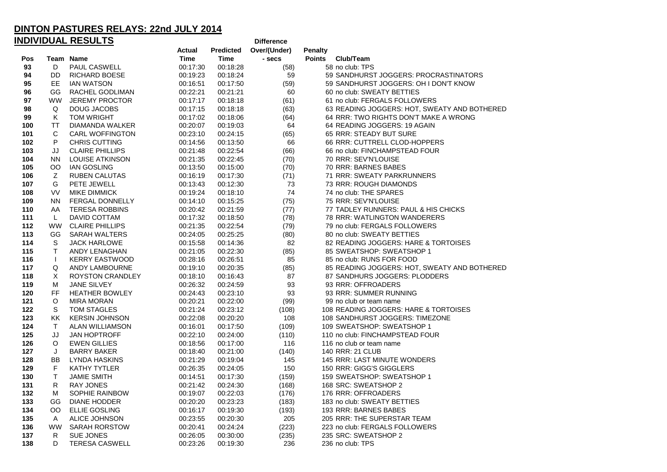| <u>INDIVIDUAL RESULTS</u><br><b>Difference</b> |           |                        |             |           |              |                                              |  |  |
|------------------------------------------------|-----------|------------------------|-------------|-----------|--------------|----------------------------------------------|--|--|
|                                                |           |                        | Actual      | Predicted | Over/(Under) | <b>Penalty</b>                               |  |  |
| Pos                                            |           | Team Name              | <b>Time</b> | Time      | - secs       | <b>Points</b><br>Club/Team                   |  |  |
| 93                                             | D         | PAUL CASWELL           | 00:17:30    | 00:18:28  | (58)         | 58 no club: TPS                              |  |  |
| 94                                             | DD        | <b>RICHARD BOESE</b>   | 00:19:23    | 00:18:24  | 59           | 59 SANDHURST JOGGERS: PROCRASTINATORS        |  |  |
| 95                                             | EE.       | <b>IAN WATSON</b>      | 00:16:51    | 00:17:50  | (59)         | 59 SANDHURST JOGGERS: OH I DON'T KNOW        |  |  |
| 96                                             | GG        | RACHEL GODLIMAN        | 00:22:21    | 00:21:21  | 60           | 60 no club: SWEATY BETTIES                   |  |  |
| 97                                             | <b>WW</b> | <b>JEREMY PROCTOR</b>  | 00:17:17    | 00:18:18  | (61)         | 61 no club: FERGALS FOLLOWERS                |  |  |
| 98                                             | Q         | <b>DOUG JACOBS</b>     | 00:17:15    | 00:18:18  | (63)         | 63 READING JOGGERS: HOT, SWEATY AND BOTHERED |  |  |
| 99                                             | K         | <b>TOM WRIGHT</b>      | 00:17:02    | 00:18:06  | (64)         | 64 RRR: TWO RIGHTS DON'T MAKE A WRONG        |  |  |
| 100                                            | TT        | DIAMANDA WALKER        | 00:20:07    | 00:19:03  | 64           | 64 READING JOGGERS: 19 AGAIN                 |  |  |
| 101                                            | С         | <b>CARL WOFFINGTON</b> | 00:23:10    | 00:24:15  | (65)         | 65 RRR: STEADY BUT SURE                      |  |  |
| 102                                            | P         | <b>CHRIS CUTTING</b>   | 00:14:56    | 00:13:50  | 66           | 66 RRR: CUTTRELL CLOD-HOPPERS                |  |  |
| 103                                            | JJ        | <b>CLAIRE PHILLIPS</b> | 00:21:48    | 00:22:54  | (66)         | 66 no club: FINCHAMPSTEAD FOUR               |  |  |
| 104                                            | ΝN        | LOUISE ATKINSON        | 00:21:35    | 00:22:45  | (70)         | 70 RRR: SEV'N'LOUISE                         |  |  |
| 105                                            | OO        | <b>IAN GOSLING</b>     | 00:13:50    | 00:15:00  | (70)         | 70 RRR: BARNES BABES                         |  |  |
| 106                                            | Ζ         | <b>RUBEN CALUTAS</b>   | 00:16:19    | 00:17:30  | (71)         | 71 RRR: SWEATY PARKRUNNERS                   |  |  |
| 107                                            | G         | PETE JEWELL            | 00:13:43    | 00:12:30  | 73           | 73 RRR: ROUGH DIAMONDS                       |  |  |
| 108                                            | VV        | <b>MIKE DIMMICK</b>    | 00:19:24    | 00:18:10  | 74           | 74 no club: THE SPARES                       |  |  |
| 109                                            | <b>NN</b> | FERGAL DONNELLY        | 00:14:10    | 00:15:25  | (75)         | 75 RRR: SEV'N'LOUISE                         |  |  |
| 110                                            | AA        | <b>TERESA ROBBINS</b>  | 00:20:42    | 00:21:59  | (77)         | 77 TADLEY RUNNERS: PAUL & HIS CHICKS         |  |  |
| 111                                            | L         | DAVID COTTAM           | 00:17:32    | 00:18:50  | (78)         | 78 RRR: WATLINGTON WANDERERS                 |  |  |
| 112                                            | <b>WW</b> | <b>CLAIRE PHILLIPS</b> | 00:21:35    | 00:22:54  | (79)         | 79 no club: FERGALS FOLLOWERS                |  |  |
| 113                                            | GG        | <b>SARAH WALTERS</b>   | 00:24:05    | 00:25:25  | (80)         | 80 no club: SWEATY BETTIES                   |  |  |
| 114                                            | S         | <b>JACK HARLOWE</b>    | 00:15:58    | 00:14:36  | 82           | 82 READING JOGGERS: HARE & TORTOISES         |  |  |
| 115                                            | T.        | ANDY LENAGHAN          | 00:21:05    | 00:22:30  | (85)         | 85 SWEATSHOP: SWEATSHOP 1                    |  |  |
| 116                                            | $\perp$   | <b>KERRY EASTWOOD</b>  | 00:28:16    | 00:26:51  | 85           | 85 no club: RUNS FOR FOOD                    |  |  |
| 117                                            | Q         | ANDY LAMBOURNE         | 00:19:10    | 00:20:35  | (85)         | 85 READING JOGGERS: HOT, SWEATY AND BOTHERED |  |  |
| 118                                            | Χ         | ROYSTON CRANDLEY       | 00:18:10    | 00:16:43  | 87           | 87 SANDHURS JOGGERS: PLODDERS                |  |  |
| 119                                            | M         | <b>JANE SILVEY</b>     | 00:26:32    | 00:24:59  | 93           | 93 RRR: OFFROADERS                           |  |  |
| 120                                            | FF        | <b>HEATHER BOWLEY</b>  | 00:24:43    | 00:23:10  | 93           | 93 RRR: SUMMER RUNNING                       |  |  |
| 121                                            | O         | MIRA MORAN             | 00:20:21    | 00:22:00  | (99)         | 99 no club or team name                      |  |  |
| 122                                            | S         | TOM STAGLES            | 00:21:24    | 00:23:12  | (108)        | 108 READING JOGGERS: HARE & TORTOISES        |  |  |
| 123                                            | ΚK        | <b>KERSIN JOHNSON</b>  | 00:22:08    | 00:20:20  | 108          | 108 SANDHURST JOGGERS: TIMEZONE              |  |  |
| 124                                            | T.        | <b>ALAN WILLIAMSON</b> | 00:16:01    | 00:17:50  | (109)        | 109 SWEATSHOP: SWEATSHOP 1                   |  |  |
| 125                                            | JJ        | <b>JAN HOPTROFF</b>    | 00:22:10    | 00:24:00  | (110)        | 110 no club: FINCHAMPSTEAD FOUR              |  |  |
| 126                                            | O         | <b>EWEN GILLIES</b>    | 00:18:56    | 00:17:00  | 116          | 116 no club or team name                     |  |  |
| 127                                            | J         | <b>BARRY BAKER</b>     | 00:18:40    | 00:21:00  | (140)        | 140 RRR: 21 CLUB                             |  |  |
| 128                                            | BB        | <b>LYNDA HASKINS</b>   | 00:21:29    | 00:19:04  | 145          | 145 RRR: LAST MINUTE WONDERS                 |  |  |
| 129                                            | F         | <b>KATHY TYTLER</b>    | 00:26:35    | 00:24:05  | 150          | 150 RRR: GIGG'S GIGGLERS                     |  |  |
| 130                                            | T.        | <b>JAMIE SMITH</b>     | 00:14:51    | 00:17:30  | (159)        | 159 SWEATSHOP: SWEATSHOP 1                   |  |  |
| 131                                            | R         | <b>RAY JONES</b>       | 00:21:42    | 00:24:30  | (168)        | 168 SRC: SWEATSHOP 2                         |  |  |
| 132                                            | м         | SOPHIE RAINBOW         | 00:19:07    | 00:22:03  | (176)        | 176 RRR: OFFROADERS                          |  |  |
| 133                                            | GG        | <b>DIANE HODDER</b>    | 00:20:20    | 00:23:23  | (183)        | 183 no club: SWEATY BETTIES                  |  |  |
| 134                                            | <b>OO</b> | ELLIE GOSLING          | 00:16:17    | 00:19:30  | (193)        | 193 RRR: BARNES BABES                        |  |  |
| 135                                            | A         | ALICE JOHNSON          | 00:23:55    | 00:20:30  | 205          | 205 RRR: THE SUPERSTAR TEAM                  |  |  |
| 136                                            | WW        | <b>SARAH RORSTOW</b>   | 00:20:41    | 00:24:24  | (223)        | 223 no club: FERGALS FOLLOWERS               |  |  |
| 137                                            | R         | <b>SUE JONES</b>       | 00:26:05    | 00:30:00  | (235)        | 235 SRC: SWEATSHOP 2                         |  |  |
| 138                                            | D         | <b>TERESA CASWELL</b>  | 00:23:26    | 00:19:30  | 236          | 236 no club: TPS                             |  |  |